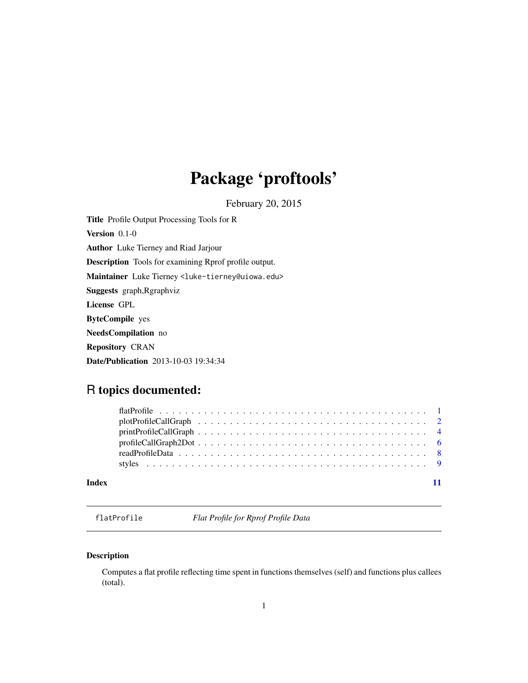## <span id="page-0-0"></span>Package 'proftools'

February 20, 2015

<span id="page-0-1"></span>Title Profile Output Processing Tools for R Version 0.1-0 Author Luke Tierney and Riad Jarjour Description Tools for examining Rprof profile output. Maintainer Luke Tierney <luke-tierney@uiowa.edu> Suggests graph,Rgraphviz License GPL ByteCompile yes NeedsCompilation no Repository CRAN Date/Publication 2013-10-03 19:34:34

### R topics documented:

|       | $printProfit[CorableCallGraph              4]$ |
|-------|------------------------------------------------|
|       |                                                |
|       |                                                |
|       |                                                |
| Index |                                                |
|       |                                                |

<span id="page-0-2"></span>flatProfile *Flat Profile for Rprof Profile Data*

#### Description

Computes a flat profile reflecting time spent in functions themselves (self) and functions plus callees (total).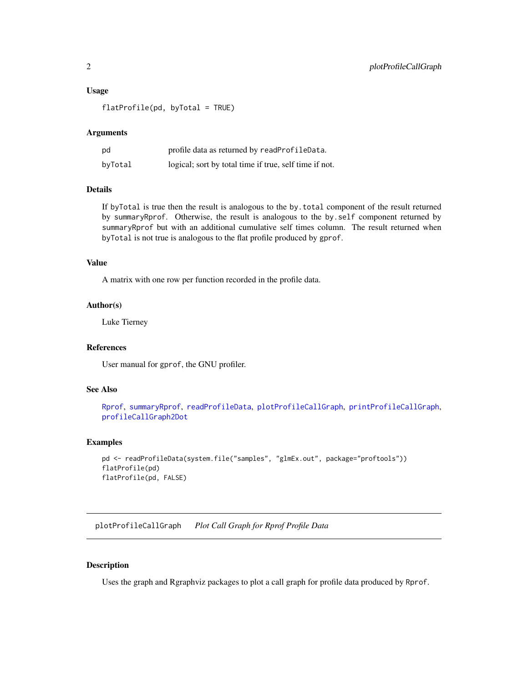#### <span id="page-1-0"></span>Usage

flatProfile(pd, byTotal = TRUE)

#### Arguments

| pd      | profile data as returned by readProfileData.           |
|---------|--------------------------------------------------------|
| byTotal | logical; sort by total time if true, self time if not. |

### Details

If byTotal is true then the result is analogous to the by.total component of the result returned by summaryRprof. Otherwise, the result is analogous to the by.self component returned by summaryRprof but with an additional cumulative self times column. The result returned when byTotal is not true is analogous to the flat profile produced by gprof.

#### Value

A matrix with one row per function recorded in the profile data.

#### Author(s)

Luke Tierney

#### References

User manual for gprof, the GNU profiler.

#### See Also

```
Rprof, summaryRprof, readProfileData, plotProfileCallGraph, printProfileCallGraph,
profileCallGraph2Dot
```
#### Examples

```
pd <- readProfileData(system.file("samples", "glmEx.out", package="proftools"))
flatProfile(pd)
flatProfile(pd, FALSE)
```
<span id="page-1-1"></span>plotProfileCallGraph *Plot Call Graph for Rprof Profile Data*

#### Description

Uses the graph and Rgraphviz packages to plot a call graph for profile data produced by Rprof.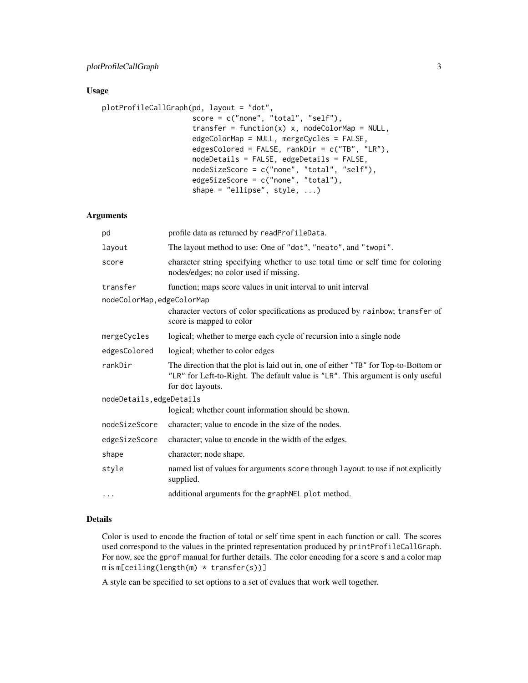#### Usage

```
plotProfileCallGraph(pd, layout = "dot",
                     score = c("none", "total", "self"),
                     transfer = function(x) x, nodeColorMap = NULL,
                     edgeColorMap = NULL, mergeCycles = FALSE,
                     edgesColored = FALSE, rankDir = c("TB", "LR"),
                     nodeDetails = FALSE, edgeDetails = FALSE,
                     nodeSizeScore = c("none", "total", "self"),
                     edgeSizeScore = c("none", "total"),
                     shape = "ellipse", style, ...)
```
#### Arguments

| pd                         | profile data as returned by readProfileData.                                                                                                                                               |  |
|----------------------------|--------------------------------------------------------------------------------------------------------------------------------------------------------------------------------------------|--|
| layout                     | The layout method to use: One of "dot", "neato", and "twopi".                                                                                                                              |  |
| score                      | character string specifying whether to use total time or self time for coloring<br>nodes/edges; no color used if missing.                                                                  |  |
| transfer                   | function; maps score values in unit interval to unit interval                                                                                                                              |  |
| nodeColorMap, edgeColorMap | character vectors of color specifications as produced by rainbow; transfer of<br>score is mapped to color                                                                                  |  |
| mergeCycles                | logical; whether to merge each cycle of recursion into a single node                                                                                                                       |  |
| edgesColored               | logical; whether to color edges                                                                                                                                                            |  |
| rankDir                    | The direction that the plot is laid out in, one of either "TB" for Top-to-Bottom or<br>"LR" for Left-to-Right. The default value is "LR". This argument is only useful<br>for dot layouts. |  |
| nodeDetails, edgeDetails   |                                                                                                                                                                                            |  |
|                            | logical; whether count information should be shown.                                                                                                                                        |  |
| nodeSizeScore              | character; value to encode in the size of the nodes.                                                                                                                                       |  |
| edgeSizeScore              | character; value to encode in the width of the edges.                                                                                                                                      |  |
| shape                      | character; node shape.                                                                                                                                                                     |  |
| style                      | named list of values for arguments score through layout to use if not explicitly<br>supplied.                                                                                              |  |
| $\cdots$                   | additional arguments for the graphNEL plot method.                                                                                                                                         |  |

#### Details

Color is used to encode the fraction of total or self time spent in each function or call. The scores used correspond to the values in the printed representation produced by printProfileCallGraph. For now, see the gprof manual for further details. The color encoding for a score s and a color map  $m$  is  $m[ceiling(length(m) * transfer(s))]$ 

A style can be specified to set options to a set of cvalues that work well together.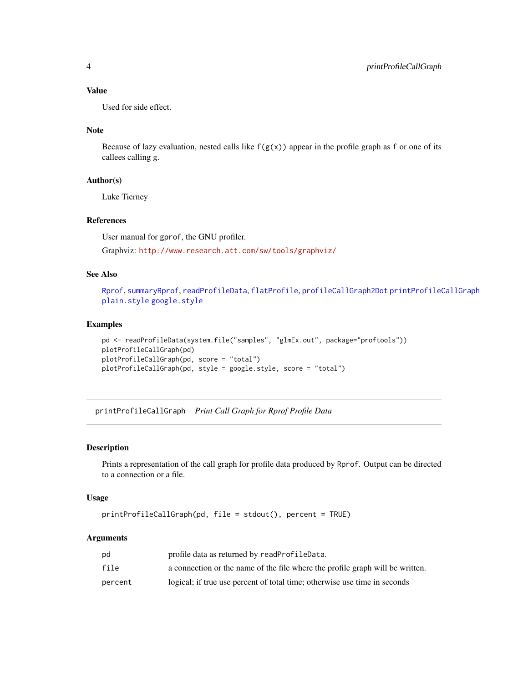#### <span id="page-3-0"></span>Value

Used for side effect.

#### Note

Because of lazy evaluation, nested calls like  $f(g(x))$  appear in the profile graph as f or one of its callees calling g.

#### Author(s)

Luke Tierney

#### References

User manual for gprof, the GNU profiler.

Graphviz: <http://www.research.att.com/sw/tools/graphviz/>

#### See Also

[Rprof](#page-0-1), [summaryRprof](#page-0-1), [readProfileData](#page-7-1), [flatProfile](#page-0-2), [profileCallGraph2Dot](#page-5-1) [printProfileCallGraph](#page-3-1) [plain.style](#page-8-1) [google.style](#page-8-1)

#### Examples

```
pd <- readProfileData(system.file("samples", "glmEx.out", package="proftools"))
plotProfileCallGraph(pd)
plotProfileCallGraph(pd, score = "total")
plotProfileCallGraph(pd, style = google.style, score = "total")
```
<span id="page-3-1"></span>printProfileCallGraph *Print Call Graph for Rprof Profile Data*

#### Description

Prints a representation of the call graph for profile data produced by Rprof. Output can be directed to a connection or a file.

#### Usage

```
printProfileCallGraph(pd, file = stdout(), percent = TRUE)
```
#### Arguments

| pd      | profile data as returned by readProfileData.                                  |
|---------|-------------------------------------------------------------------------------|
| file    | a connection or the name of the file where the profile graph will be written. |
| percent | logical; if true use percent of total time; otherwise use time in seconds     |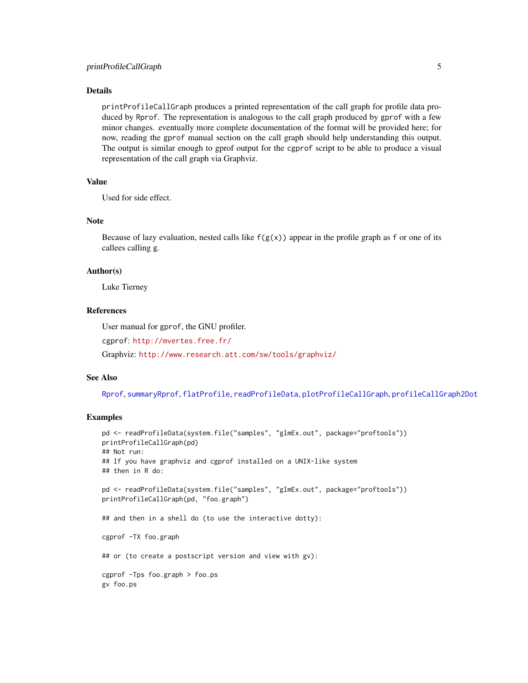#### <span id="page-4-0"></span>Details

printProfileCallGraph produces a printed representation of the call graph for profile data produced by Rprof. The representation is analogous to the call graph produced by gprof with a few minor changes. eventually more complete documentation of the format will be provided here; for now, reading the gprof manual section on the call graph should help understanding this output. The output is similar enough to gprof output for the cgprof script to be able to produce a visual representation of the call graph via Graphviz.

#### Value

Used for side effect.

#### **Note**

Because of lazy evaluation, nested calls like  $f(g(x))$  appear in the profile graph as f or one of its callees calling g.

#### Author(s)

Luke Tierney

#### References

User manual for gprof, the GNU profiler.

cgprof: <http://mvertes.free.fr/>

Graphviz: <http://www.research.att.com/sw/tools/graphviz/>

#### See Also

[Rprof](#page-0-1), [summaryRprof](#page-0-1), [flatProfile](#page-0-2), [readProfileData](#page-7-1), [plotProfileCallGraph](#page-1-1), [profileCallGraph2Dot](#page-5-1)

#### Examples

```
pd <- readProfileData(system.file("samples", "glmEx.out", package="proftools"))
printProfileCallGraph(pd)
## Not run:
## If you have graphviz and cgprof installed on a UNIX-like system
## then in R do:
pd <- readProfileData(system.file("samples", "glmEx.out", package="proftools"))
printProfileCallGraph(pd, "foo.graph")
## and then in a shell do (to use the interactive dotty):
cgprof -TX foo.graph
## or (to create a postscript version and view with gv):
cgprof -Tps foo.graph > foo.ps
gv foo.ps
```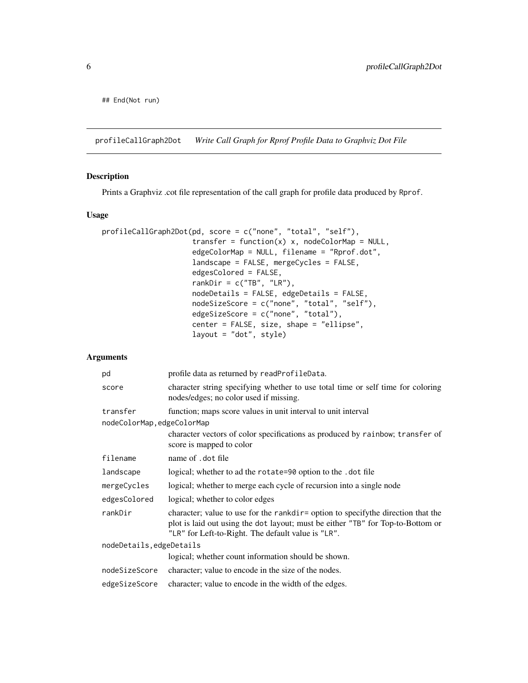<span id="page-5-0"></span>## End(Not run)

<span id="page-5-1"></span>profileCallGraph2Dot *Write Call Graph for Rprof Profile Data to Graphviz Dot File*

#### Description

Prints a Graphviz .cot file representation of the call graph for profile data produced by Rprof.

#### Usage

```
profileCallGraph2Dot(pd, score = c("none", "total", "self"),
                     transfer = function(x) x, nodeColorMap = NULL,
                     edgeColorMap = NULL, filename = "Rprof.dot",
                     landscape = FALSE, mergeCycles = FALSE,
                     edgesColored = FALSE,
                     rankDir = c("TB", "LR"),nodeDetails = FALSE, edgeDetails = FALSE,
                     nodeSizeScore = c("none", "total", "self"),
                     edgeSizeScore = c("none", "total"),
                     center = FALSE, size, shape = "ellipse",
                     layout = "dot", style)
```
#### Arguments

| pd                        | profile data as returned by readProfileData.                                                                                                                                                                               |  |
|---------------------------|----------------------------------------------------------------------------------------------------------------------------------------------------------------------------------------------------------------------------|--|
| score                     | character string specifying whether to use total time or self time for coloring<br>nodes/edges; no color used if missing.                                                                                                  |  |
| transfer                  | function; maps score values in unit interval to unit interval                                                                                                                                                              |  |
| nodeColorMap,edgeColorMap |                                                                                                                                                                                                                            |  |
|                           | character vectors of color specifications as produced by rainbow; transfer of<br>score is mapped to color                                                                                                                  |  |
| filename                  | name of .dot file                                                                                                                                                                                                          |  |
| landscape                 | logical; whether to ad the rotate=90 option to the .dot file                                                                                                                                                               |  |
| mergeCycles               | logical; whether to merge each cycle of recursion into a single node                                                                                                                                                       |  |
| edgesColored              | logical; whether to color edges                                                                                                                                                                                            |  |
| rankDir                   | character; value to use for the rankdir= option to specify the direction that the<br>plot is laid out using the dot layout; must be either "TB" for Top-to-Bottom or<br>"LR" for Left-to-Right. The default value is "LR". |  |
| nodeDetails, edgeDetails  |                                                                                                                                                                                                                            |  |
|                           | logical; whether count information should be shown.                                                                                                                                                                        |  |
| nodeSizeScore             | character; value to encode in the size of the nodes.                                                                                                                                                                       |  |
| edgeSizeScore             | character; value to encode in the width of the edges.                                                                                                                                                                      |  |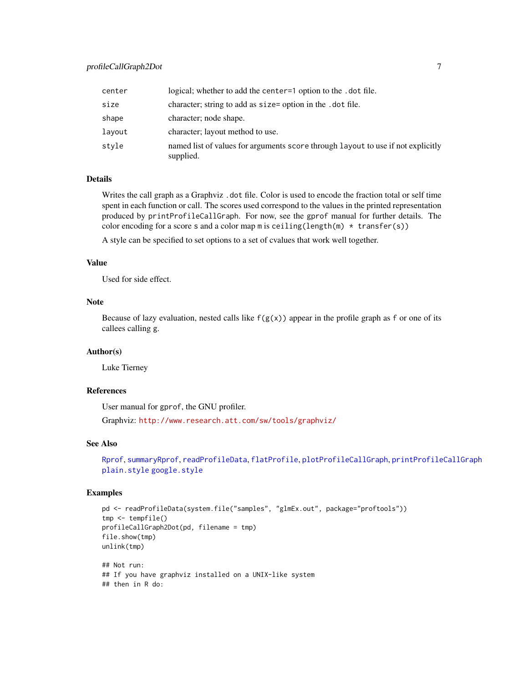<span id="page-6-0"></span>

| center | logical; whether to add the center=1 option to the . dot file.                                |
|--------|-----------------------------------------------------------------------------------------------|
| size   | character; string to add as size= option in the .dot file.                                    |
| shape  | character; node shape.                                                                        |
| layout | character; layout method to use.                                                              |
| stvle  | named list of values for arguments score through layout to use if not explicitly<br>supplied. |

#### Details

Writes the call graph as a Graphviz . dot file. Color is used to encode the fraction total or self time spent in each function or call. The scores used correspond to the values in the printed representation produced by printProfileCallGraph. For now, see the gprof manual for further details. The color encoding for a score s and a color map m is ceiling(length(m)  $*$  transfer(s))

A style can be specified to set options to a set of cvalues that work well together.

#### Value

Used for side effect.

#### Note

Because of lazy evaluation, nested calls like  $f(g(x))$  appear in the profile graph as f or one of its callees calling g.

#### Author(s)

Luke Tierney

#### References

User manual for gprof, the GNU profiler.

Graphviz: <http://www.research.att.com/sw/tools/graphviz/>

#### See Also

[Rprof](#page-0-1), [summaryRprof](#page-0-1), [readProfileData](#page-7-1), [flatProfile](#page-0-2), [plotProfileCallGraph](#page-1-1), [printProfileCallGraph](#page-3-1) [plain.style](#page-8-1) [google.style](#page-8-1)

#### Examples

```
pd <- readProfileData(system.file("samples", "glmEx.out", package="proftools"))
tmp <- tempfile()
profileCallGraph2Dot(pd, filename = tmp)
file.show(tmp)
unlink(tmp)
## Not run:
## If you have graphviz installed on a UNIX-like system
## then in R do:
```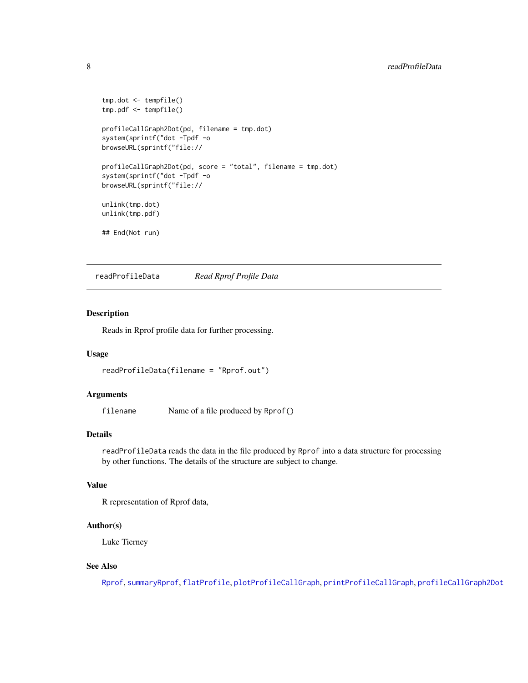```
tmp.dot <- tempfile()
tmp.pdf <- tempfile()
profileCallGraph2Dot(pd, filename = tmp.dot)
system(sprintf("dot -Tpdf -o
browseURL(sprintf("file://
profileCallGraph2Dot(pd, score = "total", filename = tmp.dot)
system(sprintf("dot -Tpdf -o
browseURL(sprintf("file://
unlink(tmp.dot)
unlink(tmp.pdf)
## End(Not run)
```
<span id="page-7-1"></span>readProfileData *Read Rprof Profile Data*

#### Description

Reads in Rprof profile data for further processing.

#### Usage

readProfileData(filename = "Rprof.out")

#### Arguments

filename Name of a file produced by Rprof()

#### Details

readProfileData reads the data in the file produced by Rprof into a data structure for processing by other functions. The details of the structure are subject to change.

#### Value

R representation of Rprof data,

#### Author(s)

Luke Tierney

#### See Also

[Rprof](#page-0-1), [summaryRprof](#page-0-1), [flatProfile](#page-0-2), [plotProfileCallGraph](#page-1-1), [printProfileCallGraph](#page-3-1), [profileCallGraph2Dot](#page-5-1)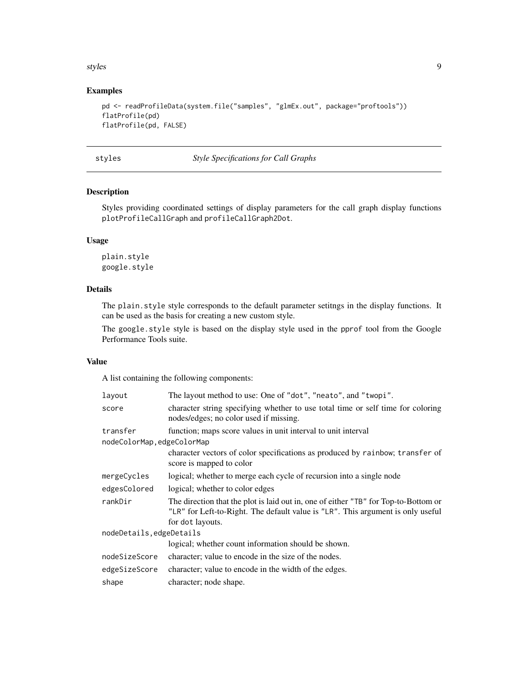#### <span id="page-8-0"></span>styles the state of the state of the state of the state of the state of the state of the state of the state of the state of the state of the state of the state of the state of the state of the state of the state of the sta

#### Examples

```
pd <- readProfileData(system.file("samples", "glmEx.out", package="proftools"))
flatProfile(pd)
flatProfile(pd, FALSE)
```
styles *Style Specifications for Call Graphs*

#### <span id="page-8-1"></span>Description

Styles providing coordinated settings of display parameters for the call graph display functions plotProfileCallGraph and profileCallGraph2Dot.

#### Usage

plain.style google.style

#### Details

The plain.style style corresponds to the default parameter setitngs in the display functions. It can be used as the basis for creating a new custom style.

The google.style style is based on the display style used in the pprof tool from the Google Performance Tools suite.

#### Value

A list containing the following components:

| layout                     | The layout method to use: One of "dot", "neato", and "twopi".                                                                                                                              |
|----------------------------|--------------------------------------------------------------------------------------------------------------------------------------------------------------------------------------------|
| score                      | character string specifying whether to use total time or self time for coloring<br>nodes/edges; no color used if missing.                                                                  |
| transfer                   | function; maps score values in unit interval to unit interval                                                                                                                              |
| nodeColorMap, edgeColorMap |                                                                                                                                                                                            |
|                            | character vectors of color specifications as produced by rainbow; transfer of<br>score is mapped to color                                                                                  |
| mergeCycles                | logical; whether to merge each cycle of recursion into a single node                                                                                                                       |
| edgesColored               | logical; whether to color edges                                                                                                                                                            |
| rankDir                    | The direction that the plot is laid out in, one of either "TB" for Top-to-Bottom or<br>"LR" for Left-to-Right. The default value is "LR". This argument is only useful<br>for dot layouts. |
| nodeDetails, edgeDetails   |                                                                                                                                                                                            |
|                            | logical; whether count information should be shown.                                                                                                                                        |
| nodeSizeScore              | character; value to encode in the size of the nodes.                                                                                                                                       |
| edgeSizeScore              | character; value to encode in the width of the edges.                                                                                                                                      |
| shape                      | character; node shape.                                                                                                                                                                     |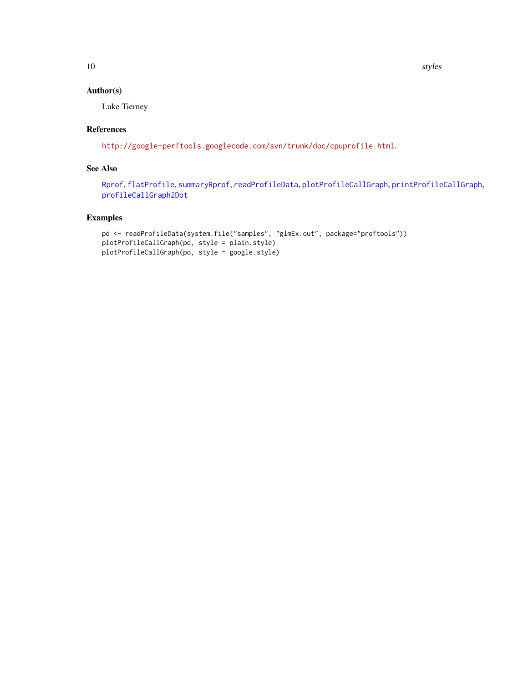<span id="page-9-0"></span>10 styles and the styles of the styles of the styles styles styles styles and the styles styles of the styles of the styles of the styles of the styles of the styles of the styles of the styles of the styles of the styles

#### Author(s)

Luke Tierney

#### References

<http://google-perftools.googlecode.com/svn/trunk/doc/cpuprofile.html>.

#### See Also

[Rprof](#page-0-1), [flatProfile](#page-0-2), [summaryRprof](#page-0-1), [readProfileData](#page-7-1), [plotProfileCallGraph](#page-1-1), [printProfileCallGraph](#page-3-1), [profileCallGraph2Dot](#page-5-1)

#### Examples

```
pd <- readProfileData(system.file("samples", "glmEx.out", package="proftools"))
plotProfileCallGraph(pd, style = plain.style)
plotProfileCallGraph(pd, style = google.style)
```